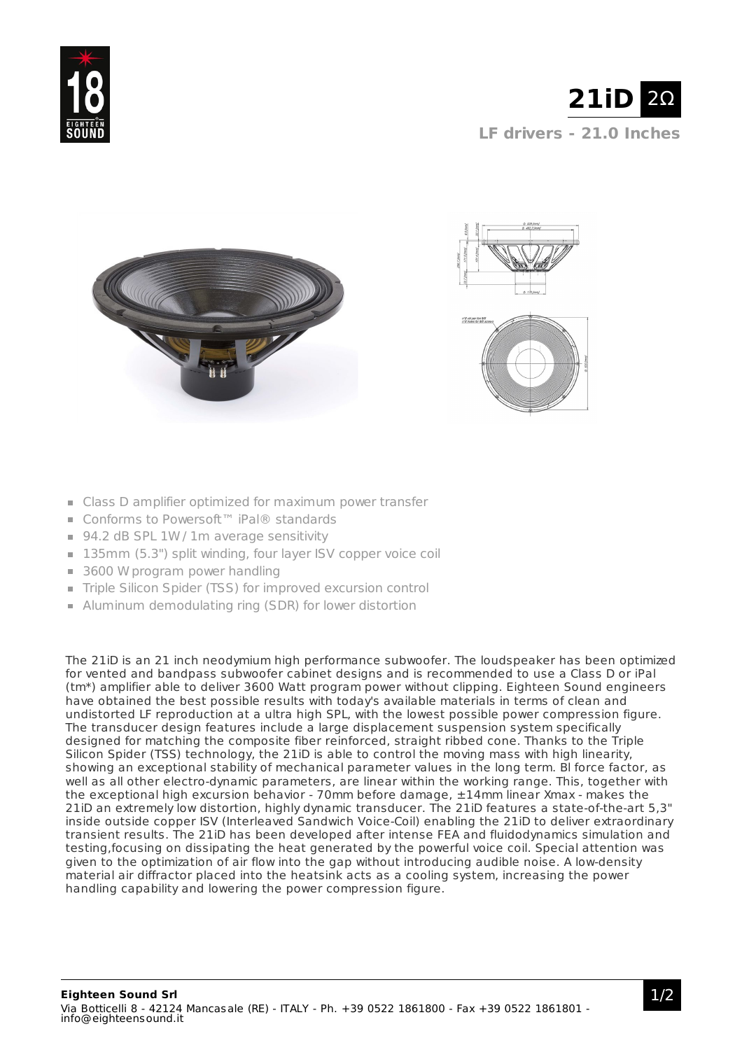





- Class D amplifier optimized for maximum power transfer
- Conforms to Powersoft™ iPal® standards
- 94.2 dB SPL 1W / 1m average sensitivity
- 135mm (5.3") split winding, four layer ISV copper voice coil
- 3600 W program power handling
- Triple Silicon Spider (TSS) for improved excursion control
- Aluminum demodulating ring (SDR) for lower distortion

The 21iD is an 21 inch neodymium high performance subwoofer. The loudspeaker has been optimized for vented and bandpass subwoofer cabinet designs and is recommended to use a Class D or iPal (tm\*) amplifier able to deliver 3600 Watt program power without clipping. Eighteen Sound engineers have obtained the best possible results with today's available materials in terms of clean and undistorted LF reproduction at a ultra high SPL, with the lowest possible power compression figure. The transducer design features include a large displacement suspension system specifically designed for matching the composite fiber reinforced, straight ribbed cone. Thanks to the Triple Silicon Spider (TSS) technology, the 21iD is able to control the moving mass with high linearity, showing an exceptional stability of mechanical parameter values in the long term. Bl force factor, as well as all other electro-dynamic parameters, are linear within the working range. This, together with the exceptional high excursion behavior - 70mm before damage, ±14mm linear Xmax - makes the 21iD an extremely low distortion, highly dynamic transducer. The 21iD features a state-of-the-art 5,3" inside outside copper ISV (Interleaved Sandwich Voice-Coil) enabling the 21iD to deliver extraordinary transient results. The 21iD has been developed after intense FEA and fluidodynamics simulation and testing,focusing on dissipating the heat generated by the powerful voice coil. Special attention was given to the optimization of air flow into the gap without introducing audible noise. A low-density material air diffractor placed into the heatsink acts as a cooling system, increasing the power handling capability and lowering the power compression figure.